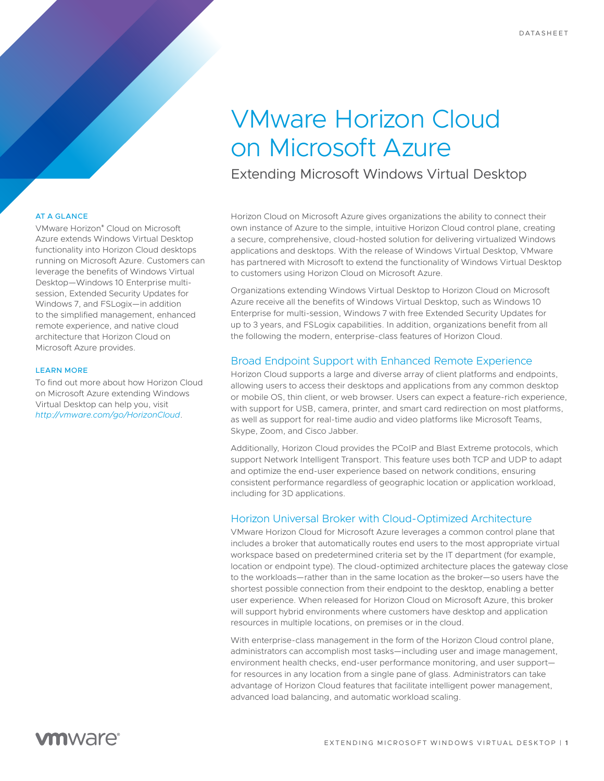# VMware Horizon Cloud on Microsoft Azure

Extending Microsoft Windows Virtual Desktop

#### AT A GLANCE

VMware Horizon® Cloud on Microsoft Azure extends Windows Virtual Desktop functionality into Horizon Cloud desktops running on Microsoft Azure. Customers can leverage the benefits of Windows Virtual Desktop—Windows 10 Enterprise multisession, Extended Security Updates for Windows 7, and FSLogix—in addition to the simplified management, enhanced remote experience, and native cloud architecture that Horizon Cloud on Microsoft Azure provides.

#### LEARN MORE

To find out more about how Horizon Cloud on Microsoft Azure extending Windows Virtual Desktop can help you, visit *<http://vmware.com/go/HorizonCloud>*.

Horizon Cloud on Microsoft Azure gives organizations the ability to connect their own instance of Azure to the simple, intuitive Horizon Cloud control plane, creating a secure, comprehensive, cloud-hosted solution for delivering virtualized Windows applications and desktops. With the release of Windows Virtual Desktop, VMware has partnered with Microsoft to extend the functionality of Windows Virtual Desktop to customers using Horizon Cloud on Microsoft Azure.

Organizations extending Windows Virtual Desktop to Horizon Cloud on Microsoft Azure receive all the benefits of Windows Virtual Desktop, such as Windows 10 Enterprise for multi-session, Windows 7 with free Extended Security Updates for up to 3 years, and FSLogix capabilities. In addition, organizations benefit from all the following the modern, enterprise-class features of Horizon Cloud.

## Broad Endpoint Support with Enhanced Remote Experience

Horizon Cloud supports a large and diverse array of client platforms and endpoints, allowing users to access their desktops and applications from any common desktop or mobile OS, thin client, or web browser. Users can expect a feature-rich experience, with support for USB, camera, printer, and smart card redirection on most platforms, as well as support for real-time audio and video platforms like Microsoft Teams, Skype, Zoom, and Cisco Jabber.

Additionally, Horizon Cloud provides the PCoIP and Blast Extreme protocols, which support Network Intelligent Transport. This feature uses both TCP and UDP to adapt and optimize the end-user experience based on network conditions, ensuring consistent performance regardless of geographic location or application workload, including for 3D applications.

# Horizon Universal Broker with Cloud-Optimized Architecture

VMware Horizon Cloud for Microsoft Azure leverages a common control plane that includes a broker that automatically routes end users to the most appropriate virtual workspace based on predetermined criteria set by the IT department (for example, location or endpoint type). The cloud-optimized architecture places the gateway close to the workloads—rather than in the same location as the broker—so users have the shortest possible connection from their endpoint to the desktop, enabling a better user experience. When released for Horizon Cloud on Microsoft Azure, this broker will support hybrid environments where customers have desktop and application resources in multiple locations, on premises or in the cloud.

With enterprise-class management in the form of the Horizon Cloud control plane, administrators can accomplish most tasks—including user and image management, environment health checks, end-user performance monitoring, and user support for resources in any location from a single pane of glass. Administrators can take advantage of Horizon Cloud features that facilitate intelligent power management, advanced load balancing, and automatic workload scaling.